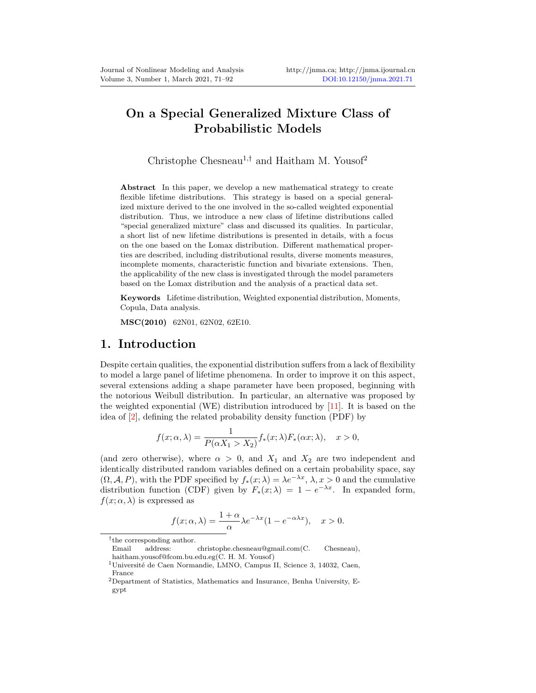# On a Special Generalized Mixture Class of Probabilistic Models

Christophe Chesneau<sup>1,†</sup> and Haitham M. Yousof<sup>2</sup>

Abstract In this paper, we develop a new mathematical strategy to create flexible lifetime distributions. This strategy is based on a special generalized mixture derived to the one involved in the so-called weighted exponential distribution. Thus, we introduce a new class of lifetime distributions called "special generalized mixture" class and discussed its qualities. In particular, a short list of new lifetime distributions is presented in details, with a focus on the one based on the Lomax distribution. Different mathematical properties are described, including distributional results, diverse moments measures, incomplete moments, characteristic function and bivariate extensions. Then, the applicability of the new class is investigated through the model parameters based on the Lomax distribution and the analysis of a practical data set.

Keywords Lifetime distribution, Weighted exponential distribution, Moments, Copula, Data analysis.

MSC(2010) 62N01, 62N02, 62E10.

## 1. Introduction

Despite certain qualities, the exponential distribution suffers from a lack of flexibility to model a large panel of lifetime phenomena. In order to improve it on this aspect, several extensions adding a shape parameter have been proposed, beginning with the notorious Weibull distribution. In particular, an alternative was proposed by the weighted exponential (WE) distribution introduced by [\[11\]](#page-21-0). It is based on the idea of [\[2\]](#page-20-1), defining the related probability density function (PDF) by

$$
f(x; \alpha, \lambda) = \frac{1}{P(\alpha X_1 > X_2)} f_*(x; \lambda) F_*(\alpha x; \lambda), \quad x > 0,
$$

(and zero otherwise), where  $\alpha > 0$ , and  $X_1$  and  $X_2$  are two independent and identically distributed random variables defined on a certain probability space, say  $(\Omega, \mathcal{A}, P)$ , with the PDF specified by  $f_*(x; \lambda) = \lambda e^{-\lambda x}, \lambda, x > 0$  and the cumulative distribution function (CDF) given by  $F_*(x; \lambda) = 1 - e^{-\lambda x}$ . In expanded form,  $f(x; \alpha, \lambda)$  is expressed as

$$
f(x; \alpha, \lambda) = \frac{1 + \alpha}{\alpha} \lambda e^{-\lambda x} (1 - e^{-\alpha \lambda x}), \quad x > 0.
$$

<sup>†</sup> the corresponding author.

Email address: christophe.chesneau@gmail.com(C. Chesneau), haitham.yousof@fcom.bu.edu.eg(C. H. M. Yousof)

 $1$ Université de Caen Normandie, LMNO, Campus II, Science 3, 14032, Caen, France

 $^{2}$ Department of Statistics, Mathematics and Insurance, Benha University, Egypt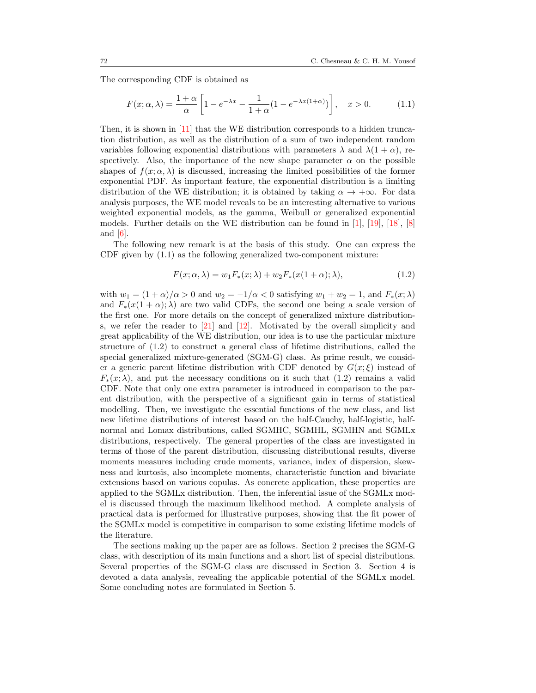The corresponding CDF is obtained as

<span id="page-1-0"></span>
$$
F(x; \alpha, \lambda) = \frac{1 + \alpha}{\alpha} \left[ 1 - e^{-\lambda x} - \frac{1}{1 + \alpha} (1 - e^{-\lambda x (1 + \alpha)}) \right], \quad x > 0.
$$
 (1.1)

Then, it is shown in [\[11\]](#page-21-0) that the WE distribution corresponds to a hidden truncation distribution, as well as the distribution of a sum of two independent random variables following exponential distributions with parameters  $\lambda$  and  $\lambda(1+\alpha)$ , respectively. Also, the importance of the new shape parameter  $\alpha$  on the possible shapes of  $f(x; \alpha, \lambda)$  is discussed, increasing the limited possibilities of the former exponential PDF. As important feature, the exponential distribution is a limiting distribution of the WE distribution; it is obtained by taking  $\alpha \to +\infty$ . For data analysis purposes, the WE model reveals to be an interesting alternative to various weighted exponential models, as the gamma, Weibull or generalized exponential models. Further details on the WE distribution can be found in [\[1\]](#page-20-2), [\[19\]](#page-21-1), [\[18\]](#page-21-2), [\[8\]](#page-20-3) and [\[6\]](#page-20-4).

The following new remark is at the basis of this study. One can express the CDF given by [\(1.1\)](#page-1-0) as the following generalized two-component mixture:

<span id="page-1-1"></span>
$$
F(x; \alpha, \lambda) = w_1 F_*(x; \lambda) + w_2 F_*(x(1+\alpha); \lambda), \qquad (1.2)
$$

with  $w_1 = (1 + \alpha)/\alpha > 0$  and  $w_2 = -1/\alpha < 0$  satisfying  $w_1 + w_2 = 1$ , and  $F_*(x; \lambda)$ and  $F_*(x(1+\alpha);\lambda)$  are two valid CDFs, the second one being a scale version of the first one. For more details on the concept of generalized mixture distributions, we refer the reader to [\[21\]](#page-21-3) and [\[12\]](#page-21-4). Motivated by the overall simplicity and great applicability of the WE distribution, our idea is to use the particular mixture structure of [\(1.2\)](#page-1-1) to construct a general class of lifetime distributions, called the special generalized mixture-generated (SGM-G) class. As prime result, we consider a generic parent lifetime distribution with CDF denoted by  $G(x;\xi)$  instead of  $F_*(x; \lambda)$ , and put the necessary conditions on it such that [\(1.2\)](#page-1-1) remains a valid CDF. Note that only one extra parameter is introduced in comparison to the parent distribution, with the perspective of a significant gain in terms of statistical modelling. Then, we investigate the essential functions of the new class, and list new lifetime distributions of interest based on the half-Cauchy, half-logistic, halfnormal and Lomax distributions, called SGMHC, SGMHL, SGMHN and SGMLx distributions, respectively. The general properties of the class are investigated in terms of those of the parent distribution, discussing distributional results, diverse moments measures including crude moments, variance, index of dispersion, skewness and kurtosis, also incomplete moments, characteristic function and bivariate extensions based on various copulas. As concrete application, these properties are applied to the SGMLx distribution. Then, the inferential issue of the SGMLx model is discussed through the maximum likelihood method. A complete analysis of practical data is performed for illustrative purposes, showing that the fit power of the SGMLx model is competitive in comparison to some existing lifetime models of the literature.

The sections making up the paper are as follows. Section [2](#page-2-0) precises the SGM-G class, with description of its main functions and a short list of special distributions. Several properties of the SGM-G class are discussed in Section [3.](#page-7-0) Section [4](#page-13-0) is devoted a data analysis, revealing the applicable potential of the SGMLx model. Some concluding notes are formulated in Section [5.](#page-20-5)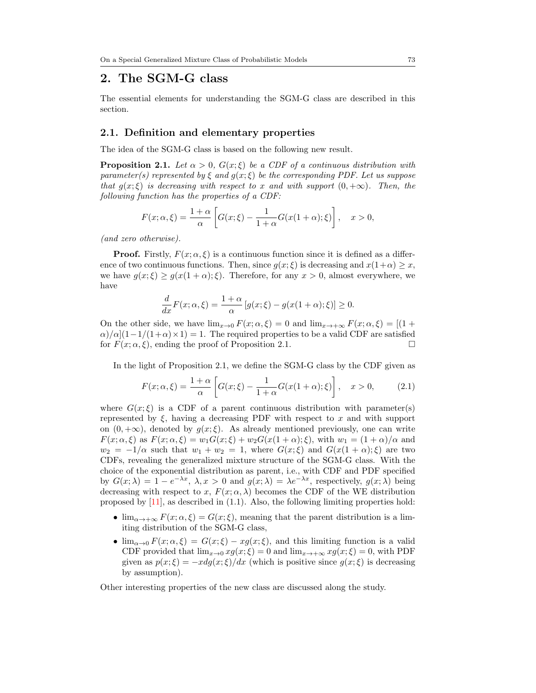## <span id="page-2-0"></span>2. The SGM-G class

The essential elements for understanding the SGM-G class are described in this section.

#### 2.1. Definition and elementary properties

The idea of the SGM-G class is based on the following new result.

<span id="page-2-1"></span>**Proposition 2.1.** Let  $\alpha > 0$ ,  $G(x;\xi)$  be a CDF of a continuous distribution with parameter(s) represented by  $\xi$  and  $g(x;\xi)$  be the corresponding PDF. Let us suppose that  $g(x;\xi)$  is decreasing with respect to x and with support  $(0, +\infty)$ . Then, the following function has the properties of a CDF:

$$
F(x; \alpha, \xi) = \frac{1+\alpha}{\alpha} \left[ G(x; \xi) - \frac{1}{1+\alpha} G(x(1+\alpha); \xi) \right], \quad x > 0,
$$

(and zero otherwise).

**Proof.** Firstly,  $F(x; \alpha, \xi)$  is a continuous function since it is defined as a difference of two continuous functions. Then, since  $g(x;\xi)$  is decreasing and  $x(1+\alpha) \geq x$ , we have  $g(x;\xi) \geq g(x(1+\alpha);\xi)$ . Therefore, for any  $x > 0$ , almost everywhere, we have

<span id="page-2-2"></span>
$$
\frac{d}{dx}F(x;\alpha,\xi) = \frac{1+\alpha}{\alpha} \left[ g(x;\xi) - g(x(1+\alpha);\xi) \right] \ge 0.
$$

On the other side, we have  $\lim_{x\to 0} F(x;\alpha,\xi) = 0$  and  $\lim_{x\to +\infty} F(x;\alpha,\xi) = [(1 +$  $\alpha$ / $\alpha$ [(1-1/(1+ $\alpha$ )×1) = 1. The required properties to be a valid CDF are satisfied for  $F(x; \alpha, \xi)$ , ending the proof of Proposition [2.1.](#page-2-1)

In the light of Proposition [2.1,](#page-2-1) we define the SGM-G class by the CDF given as

$$
F(x; \alpha, \xi) = \frac{1+\alpha}{\alpha} \left[ G(x; \xi) - \frac{1}{1+\alpha} G(x(1+\alpha); \xi) \right], \quad x > 0,
$$
 (2.1)

where  $G(x;\xi)$  is a CDF of a parent continuous distribution with parameter(s) represented by  $\xi$ , having a decreasing PDF with respect to x and with support on  $(0, +\infty)$ , denoted by  $g(x;\xi)$ . As already mentioned previously, one can write  $F(x; \alpha, \xi)$  as  $F(x; \alpha, \xi) = w_1 G(x; \xi) + w_2 G(x(1+\alpha); \xi)$ , with  $w_1 = (1+\alpha)/\alpha$  and  $w_2 = -1/\alpha$  such that  $w_1 + w_2 = 1$ , where  $G(x;\xi)$  and  $G(x(1+\alpha);\xi)$  are two CDFs, revealing the generalized mixture structure of the SGM-G class. With the choice of the exponential distribution as parent, i.e., with CDF and PDF specified by  $G(x; \lambda) = 1 - e^{-\lambda x}, \lambda, x > 0$  and  $g(x; \lambda) = \lambda e^{-\lambda x}$ , respectively,  $g(x; \lambda)$  being decreasing with respect to x,  $F(x; \alpha, \lambda)$  becomes the CDF of the WE distribution proposed by [\[11\]](#page-21-0), as described in [\(1.1\)](#page-1-0). Also, the following limiting properties hold:

- $\lim_{\alpha \to \infty} F(x; \alpha, \xi) = G(x; \xi)$ , meaning that the parent distribution is a limiting distribution of the SGM-G class,
- $\lim_{\alpha\to 0} F(x;\alpha,\xi) = G(x;\xi) xg(x;\xi)$ , and this limiting function is a valid CDF provided that  $\lim_{x\to 0} xg(x;\xi) = 0$  and  $\lim_{x\to +\infty} xg(x;\xi) = 0$ , with PDF given as  $p(x;\xi) = -xdg(x;\xi)/dx$  (which is positive since  $g(x;\xi)$  is decreasing by assumption).

Other interesting properties of the new class are discussed along the study.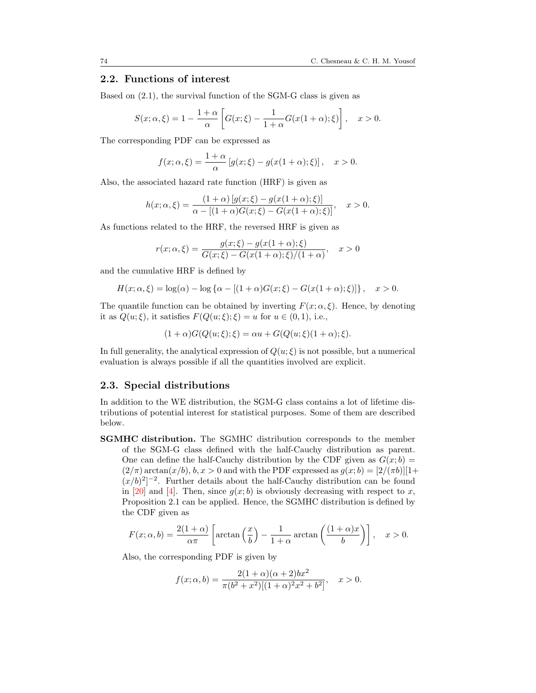## 2.2. Functions of interest

Based on [\(2.1\)](#page-2-2), the survival function of the SGM-G class is given as

$$
S(x; \alpha, \xi) = 1 - \frac{1 + \alpha}{\alpha} \left[ G(x; \xi) - \frac{1}{1 + \alpha} G(x(1 + \alpha); \xi) \right], \quad x > 0.
$$

The corresponding PDF can be expressed as

$$
f(x; \alpha, \xi) = \frac{1+\alpha}{\alpha} \left[ g(x; \xi) - g(x(1+\alpha); \xi) \right], \quad x > 0.
$$

Also, the associated hazard rate function (HRF) is given as

$$
h(x; \alpha, \xi) = \frac{(1+\alpha)[g(x; \xi) - g(x(1+\alpha); \xi)]}{\alpha - [(1+\alpha)G(x; \xi) - G(x(1+\alpha); \xi)]}, \quad x > 0.
$$

As functions related to the HRF, the reversed HRF is given as

$$
r(x; \alpha, \xi) = \frac{g(x; \xi) - g(x(1 + \alpha); \xi)}{G(x; \xi) - G(x(1 + \alpha); \xi)/(1 + \alpha)}, \quad x > 0
$$

and the cumulative HRF is defined by

$$
H(x; \alpha, \xi) = \log(\alpha) - \log \{ \alpha - [(1+\alpha)G(x;\xi) - G(x(1+\alpha);\xi)] \}, \quad x > 0.
$$

The quantile function can be obtained by inverting  $F(x; \alpha, \xi)$ . Hence, by denoting it as  $Q(u; \xi)$ , it satisfies  $F(Q(u; \xi); \xi) = u$  for  $u \in (0, 1)$ , i.e.,

$$
(1+\alpha)G(Q(u;\xi);\xi) = \alpha u + G(Q(u;\xi))(1+\alpha);\xi).
$$

In full generality, the analytical expression of  $Q(u; \xi)$  is not possible, but a numerical evaluation is always possible if all the quantities involved are explicit.

#### 2.3. Special distributions

In addition to the WE distribution, the SGM-G class contains a lot of lifetime distributions of potential interest for statistical purposes. Some of them are described below.

SGMHC distribution. The SGMHC distribution corresponds to the member of the SGM-G class defined with the half-Cauchy distribution as parent. One can define the half-Cauchy distribution by the CDF given as  $G(x; b)$  =  $(2/\pi)\arctan(x/b), b, x > 0$  and with the PDF expressed as  $g(x;b) = [2/(\pi b)][1+$  $(x/b)^2$ <sup>-2</sup>. Further details about the half-Cauchy distribution can be found in [\[20\]](#page-21-5) and [\[4\]](#page-20-6). Then, since  $g(x; b)$  is obviously decreasing with respect to x, Proposition [2.1](#page-2-1) can be applied. Hence, the SGMHC distribution is defined by the CDF given as

$$
F(x; \alpha, b) = \frac{2(1+\alpha)}{\alpha \pi} \left[ \arctan\left(\frac{x}{b}\right) - \frac{1}{1+\alpha} \arctan\left(\frac{(1+\alpha)x}{b}\right) \right], \quad x > 0.
$$

Also, the corresponding PDF is given by

$$
f(x; \alpha, b) = \frac{2(1+\alpha)(\alpha+2)bx^2}{\pi(b^2+x^2)[(1+\alpha)^2x^2+b^2]}, \quad x > 0.
$$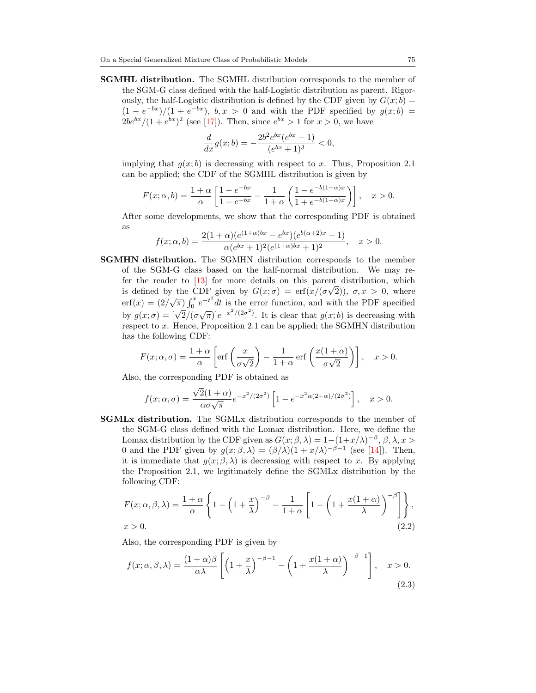SGMHL distribution. The SGMHL distribution corresponds to the member of the SGM-G class defined with the half-Logistic distribution as parent. Rigorously, the half-Logistic distribution is defined by the CDF given by  $G(x; b) =$  $(1-e^{-bx})/(1+e^{-bx})$ ,  $b, x > 0$  and with the PDF specified by  $g(x;b) =$  $2be^{bx}/(1+e^{bx})^2$  (see [\[17\]](#page-21-6)). Then, since  $e^{bx} > 1$  for  $x > 0$ , we have

$$
\frac{d}{dx}g(x;b) = -\frac{2b^2e^{bx}(e^{bx}-1)}{(e^{bx}+1)^3} < 0,
$$

implying that  $g(x; b)$  is decreasing with respect to x. Thus, Proposition [2.1](#page-2-1) can be applied; the CDF of the SGMHL distribution is given by

$$
F(x; \alpha, b) = \frac{1 + \alpha}{\alpha} \left[ \frac{1 - e^{-bx}}{1 + e^{-bx}} - \frac{1}{1 + \alpha} \left( \frac{1 - e^{-b(1 + \alpha)x}}{1 + e^{-b(1 + \alpha)x}} \right) \right], \quad x > 0.
$$

After some developments, we show that the corresponding PDF is obtained as

$$
f(x; \alpha, b) = \frac{2(1+\alpha)(e^{(1+\alpha)bx} - e^{bx})(e^{b(\alpha+2)x} - 1)}{\alpha(e^{bx} + 1)^2(e^{(1+\alpha)bx} + 1)^2}, \quad x > 0.
$$

SGMHN distribution. The SGMHN distribution corresponds to the member of the SGM-G class based on the half-normal distribution. We may refer the reader to  $\left[13\right]$  for more details on this parent distribution, which is defined by the CDF given by  $G(x; \sigma) = erf(x/(\sigma \sqrt{2}))$ ,  $\sigma, x > 0$ , where erf(x) =  $(2/\sqrt{\pi}) \int_0^x e^{-t^2} dt$  is the error function, and with the PDF specified by  $g(x; \sigma) = [\sqrt{2}/(\sigma\sqrt{\pi})]e^{-x^2/(2\sigma^2)}$ . It is clear that  $g(x; b)$  is decreasing with respect to x. Hence, Proposition [2.1](#page-2-1) can be applied; the SGMHN distribution has the following CDF:

$$
F(x; \alpha, \sigma) = \frac{1+\alpha}{\alpha} \left[ \text{erf}\left(\frac{x}{\sigma\sqrt{2}}\right) - \frac{1}{1+\alpha} \text{erf}\left(\frac{x(1+\alpha)}{\sigma\sqrt{2}}\right) \right], \quad x > 0.
$$

Also, the corresponding PDF is obtained as

$$
f(x; \alpha, \sigma) = \frac{\sqrt{2}(1+\alpha)}{\alpha \sigma \sqrt{\pi}} e^{-x^2/(2\sigma^2)} \left[1 - e^{-x^2 \alpha (2+\alpha)/(2\sigma^2)}\right], \quad x > 0.
$$

SGMLx distribution. The SGMLx distribution corresponds to the member of the SGM-G class defined with the Lomax distribution. Here, we define the Lomax distribution by the CDF given as  $G(x; \beta, \lambda) = 1 - (1 + x/\lambda)^{-\beta}, \beta, \lambda, x >$ 0 and the PDF given by  $g(x;\beta,\lambda) = (\beta/\lambda)(1+x/\lambda)^{-\beta-1}$  (see [\[14\]](#page-21-8)). Then, it is immediate that  $g(x; \beta, \lambda)$  is decreasing with respect to x. By applying the Proposition [2.1,](#page-2-1) we legitimately define the SGMLx distribution by the following CDF:

$$
F(x; \alpha, \beta, \lambda) = \frac{1+\alpha}{\alpha} \left\{ 1 - \left( 1 + \frac{x}{\lambda} \right)^{-\beta} - \frac{1}{1+\alpha} \left[ 1 - \left( 1 + \frac{x(1+\alpha)}{\lambda} \right)^{-\beta} \right] \right\},\
$$
  
x > 0. (2.2)

Also, the corresponding PDF is given by

<span id="page-4-1"></span><span id="page-4-0"></span>
$$
f(x; \alpha, \beta, \lambda) = \frac{(1+\alpha)\beta}{\alpha\lambda} \left[ \left(1 + \frac{x}{\lambda}\right)^{-\beta - 1} - \left(1 + \frac{x(1+\alpha)}{\lambda}\right)^{-\beta - 1} \right], \quad x > 0.
$$
\n(2.3)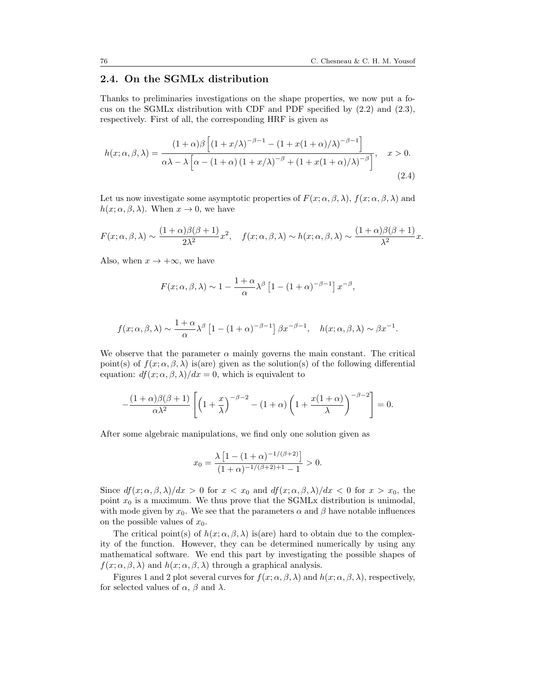## 2.4. On the SGMLx distribution

Thanks to preliminaries investigations on the shape properties, we now put a focus on the SGMLx distribution with CDF and PDF specified by [\(2.2\)](#page-4-0) and [\(2.3\)](#page-4-1), respectively. First of all, the corresponding HRF is given as

$$
h(x; \alpha, \beta, \lambda) = \frac{(1+\alpha)\beta \left[ (1+x/\lambda)^{-\beta-1} - (1+x(1+\alpha)/\lambda)^{-\beta-1} \right]}{\alpha\lambda - \lambda \left[ \alpha - (1+\alpha)(1+x/\lambda)^{-\beta} + (1+x(1+\alpha)/\lambda)^{-\beta} \right]}, \quad x > 0.
$$
\n(2.4)

Let us now investigate some asymptotic properties of  $F(x; \alpha, \beta, \lambda)$ ,  $f(x; \alpha, \beta, \lambda)$  and  $h(x; \alpha, \beta, \lambda)$ . When  $x \to 0$ , we have

$$
F(x; \alpha, \beta, \lambda) \sim \frac{(1+\alpha)\beta(\beta+1)}{2\lambda^2}x^2, \quad f(x; \alpha, \beta, \lambda) \sim h(x; \alpha, \beta, \lambda) \sim \frac{(1+\alpha)\beta(\beta+1)}{\lambda^2}x.
$$

Also, when  $x \to +\infty$ , we have

$$
F(x; \alpha, \beta, \lambda) \sim 1 - \frac{1 + \alpha}{\alpha} \lambda^{\beta} \left[ 1 - (1 + \alpha)^{-\beta - 1} \right] x^{-\beta},
$$

$$
f(x; \alpha, \beta, \lambda) \sim \frac{1+\alpha}{\alpha} \lambda^{\beta} \left[ 1 - (1+\alpha)^{-\beta-1} \right] \beta x^{-\beta-1}, \quad h(x; \alpha, \beta, \lambda) \sim \beta x^{-1}.
$$

We observe that the parameter  $\alpha$  mainly governs the main constant. The critical point(s) of  $f(x; \alpha, \beta, \lambda)$  is(are) given as the solution(s) of the following differential equation:  $df(x; \alpha, \beta, \lambda)/dx = 0$ , which is equivalent to

$$
-\frac{(1+\alpha)\beta(\beta+1)}{\alpha\lambda^2}\left[\left(1+\frac{x}{\lambda}\right)^{-\beta-2}-(1+\alpha)\left(1+\frac{x(1+\alpha)}{\lambda}\right)^{-\beta-2}\right]=0.
$$

After some algebraic manipulations, we find only one solution given as

$$
x_0 = \frac{\lambda \left[ 1 - (1 + \alpha)^{-1/(\beta + 2)} \right]}{(1 + \alpha)^{-1/(\beta + 2) + 1} - 1} > 0.
$$

Since  $df(x; \alpha, \beta, \lambda)/dx > 0$  for  $x < x_0$  and  $df(x; \alpha, \beta, \lambda)/dx < 0$  for  $x > x_0$ , the point  $x_0$  is a maximum. We thus prove that the SGMLx distribution is unimodal, with mode given by  $x_0$ . We see that the parameters  $\alpha$  and  $\beta$  have notable influences on the possible values of  $x_0$ .

The critical point(s) of  $h(x; \alpha, \beta, \lambda)$  is(are) hard to obtain due to the complexity of the function. However, they can be determined numerically by using any mathematical software. We end this part by investigating the possible shapes of  $f(x; \alpha, \beta, \lambda)$  and  $h(x; \alpha, \beta, \lambda)$  through a graphical analysis.

Figures [1](#page-6-0) and [2](#page-6-1) plot several curves for  $f(x; \alpha, \beta, \lambda)$  and  $h(x; \alpha, \beta, \lambda)$ , respectively, for selected values of  $\alpha$ ,  $\beta$  and  $\lambda$ .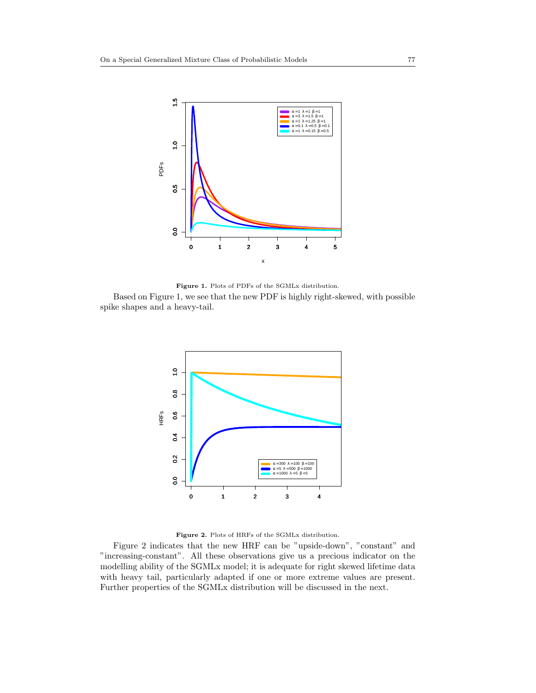

Figure 1. Plots of PDFs of the SGMLx distribution. Based on Figure [1,](#page-6-0) we see that the new PDF is highly right-skewed, with possible spike shapes and a heavy-tail.

<span id="page-6-0"></span>

<span id="page-6-1"></span>Figure 2. Plots of HRFs of the SGMLx distribution.

Figure [2](#page-6-1) indicates that the new HRF can be "upside-down", "constant" and "increasing-constant". All these observations give us a precious indicator on the modelling ability of the SGMLx model; it is adequate for right skewed lifetime data with heavy tail, particularly adapted if one or more extreme values are present. Further properties of the SGMLx distribution will be discussed in the next.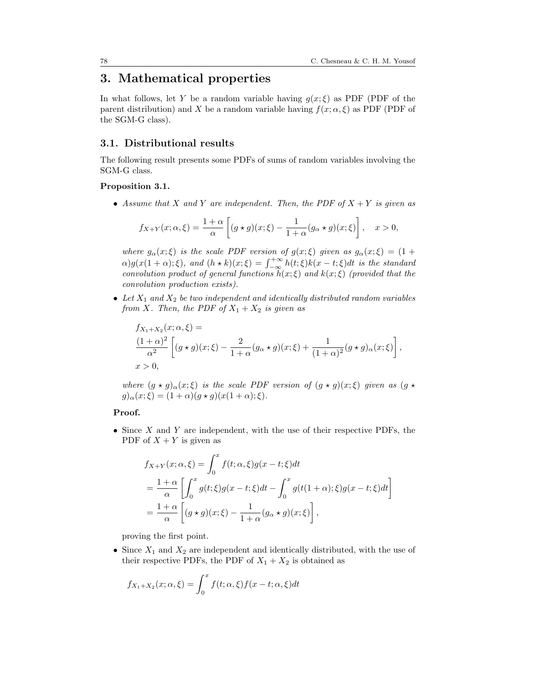# <span id="page-7-0"></span>3. Mathematical properties

In what follows, let Y be a random variable having  $g(x;\xi)$  as PDF (PDF of the parent distribution) and X be a random variable having  $f(x; \alpha, \xi)$  as PDF (PDF of the SGM-G class).

### 3.1. Distributional results

The following result presents some PDFs of sums of random variables involving the SGM-G class.

#### <span id="page-7-1"></span>Proposition 3.1.

• Assume that X and Y are independent. Then, the PDF of  $X + Y$  is given as

$$
f_{X+Y}(x;\alpha,\xi) = \frac{1+\alpha}{\alpha} \left[ (g \star g)(x;\xi) - \frac{1}{1+\alpha} (g_{\alpha} \star g)(x;\xi) \right], \quad x > 0,
$$

where  $g_{\alpha}(x;\xi)$  is the scale PDF version of  $g(x;\xi)$  given as  $g_{\alpha}(x;\xi) = (1 +$  $\alpha)g(x(1+\alpha);\xi)$ , and  $(h \star k)(x;\xi) = \int_{-\infty}^{+\infty} h(t;\xi)k(x-t;\xi)dt$  is the standard convolution product of general functions  $h(x;\xi)$  and  $k(x;\xi)$  (provided that the convolution production exists).

• Let  $X_1$  and  $X_2$  be two independent and identically distributed random variables from X. Then, the PDF of  $X_1 + X_2$  is given as

$$
f_{X_1+X_2}(x;\alpha,\xi) =
$$
  
\n
$$
\frac{(1+\alpha)^2}{\alpha^2} \left[ (g \star g)(x;\xi) - \frac{2}{1+\alpha} (g_{\alpha} \star g)(x;\xi) + \frac{1}{(1+\alpha)^2} (g \star g)_{\alpha}(x;\xi) \right],
$$
  
\n
$$
x > 0,
$$

where  $(g \star g)_{\alpha}(x;\xi)$  is the scale PDF version of  $(g \star g)(x;\xi)$  given as  $(g \star g)(x;\xi)$  $g)_{\alpha}(x;\xi) = (1+\alpha)(g * g)(x(1+\alpha);\xi).$ 

#### Proof.

• Since  $X$  and  $Y$  are independent, with the use of their respective PDFs, the PDF of  $X + Y$  is given as

$$
f_{X+Y}(x; \alpha, \xi) = \int_0^x f(t; \alpha, \xi) g(x - t; \xi) dt
$$
  
=  $\frac{1+\alpha}{\alpha} \left[ \int_0^x g(t; \xi) g(x - t; \xi) dt - \int_0^x g(t(1 + \alpha); \xi) g(x - t; \xi) dt \right]$   
=  $\frac{1+\alpha}{\alpha} \left[ (g \star g)(x; \xi) - \frac{1}{1+\alpha} (g \star g)(x; \xi) \right],$ 

proving the first point.

• Since  $X_1$  and  $X_2$  are independent and identically distributed, with the use of their respective PDFs, the PDF of  $X_1 + X_2$  is obtained as

$$
f_{X_1+X_2}(x;\alpha,\xi) = \int_0^x f(t;\alpha,\xi)f(x-t;\alpha,\xi)dt
$$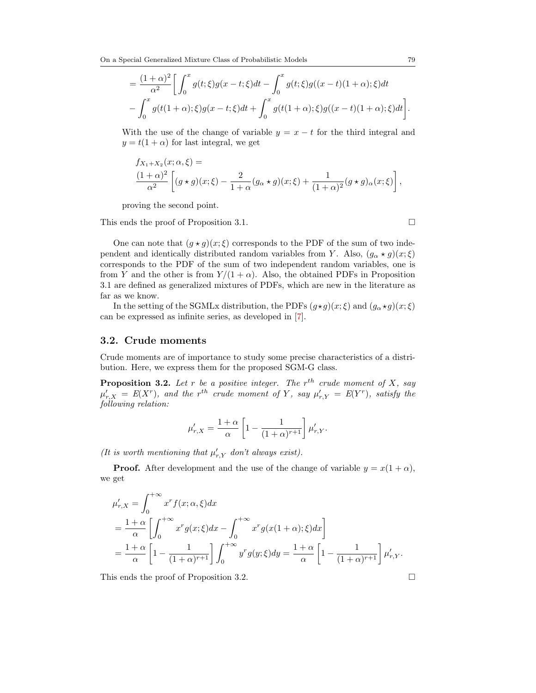On a Special Generalized Mixture Class of Probabilistic Models 79

$$
= \frac{(1+\alpha)^2}{\alpha^2} \bigg[ \int_0^x g(t;\xi)g(x-t;\xi)dt - \int_0^x g(t;\xi)g((x-t)(1+\alpha);\xi)dt - \int_0^x g(t(1+\alpha);\xi)g(x-t;\xi)dt + \int_0^x g(t(1+\alpha);\xi)g((x-t)(1+\alpha);\xi)dt \bigg].
$$

With the use of the change of variable  $y = x - t$  for the third integral and  $y = t(1 + \alpha)$  for last integral, we get

$$
f_{X_1+X_2}(x;\alpha,\xi) =
$$
  

$$
\frac{(1+\alpha)^2}{\alpha^2} \left[ (g \star g)(x;\xi) - \frac{2}{1+\alpha} (g_\alpha \star g)(x;\xi) + \frac{1}{(1+\alpha)^2} (g \star g)_\alpha(x;\xi) \right],
$$

proving the second point.

This ends the proof of Proposition [3.1.](#page-7-1)

One can note that  $(g \star g)(x;\xi)$  corresponds to the PDF of the sum of two independent and identically distributed random variables from Y. Also,  $(g_{\alpha} \star g)(x;\xi)$ corresponds to the PDF of the sum of two independent random variables, one is from Y and the other is from  $Y/(1 + \alpha)$ . Also, the obtained PDFs in Proposition [3.1](#page-7-1) are defined as generalized mixtures of PDFs, which are new in the literature as far as we know.

In the setting of the SGMLx distribution, the PDFs  $(g \star g)(x;\xi)$  and  $(g_{\alpha} \star g)(x;\xi)$ can be expressed as infinite series, as developed in [\[7\]](#page-20-7).

#### 3.2. Crude moments

Crude moments are of importance to study some precise characteristics of a distribution. Here, we express them for the proposed SGM-G class.

<span id="page-8-0"></span>**Proposition 3.2.** Let r be a positive integer. The  $r^{th}$  crude moment of X, say  $\mu_{r,X}' = E(X^r)$ , and the r<sup>th</sup> crude moment of Y, say  $\mu_{r,Y}' = E(Y^r)$ , satisfy the following relation:

$$
\mu'_{r,X} = \frac{1+\alpha}{\alpha} \left[ 1 - \frac{1}{(1+\alpha)^{r+1}} \right] \mu'_{r,Y}.
$$

(It is worth mentioning that  $\mu'_{r,Y}$  don't always exist).

**Proof.** After development and the use of the change of variable  $y = x(1 + \alpha)$ , we get

$$
\mu'_{r,X} = \int_0^{+\infty} x^r f(x;\alpha,\xi) dx
$$
  
=  $\frac{1+\alpha}{\alpha} \left[ \int_0^{+\infty} x^r g(x;\xi) dx - \int_0^{+\infty} x^r g(x(1+\alpha);\xi) dx \right]$   
=  $\frac{1+\alpha}{\alpha} \left[ 1 - \frac{1}{(1+\alpha)^{r+1}} \right] \int_0^{+\infty} y^r g(y;\xi) dy = \frac{1+\alpha}{\alpha} \left[ 1 - \frac{1}{(1+\alpha)^{r+1}} \right] \mu'_{r,Y}.$ 

This ends the proof of Proposition [3.2.](#page-8-0)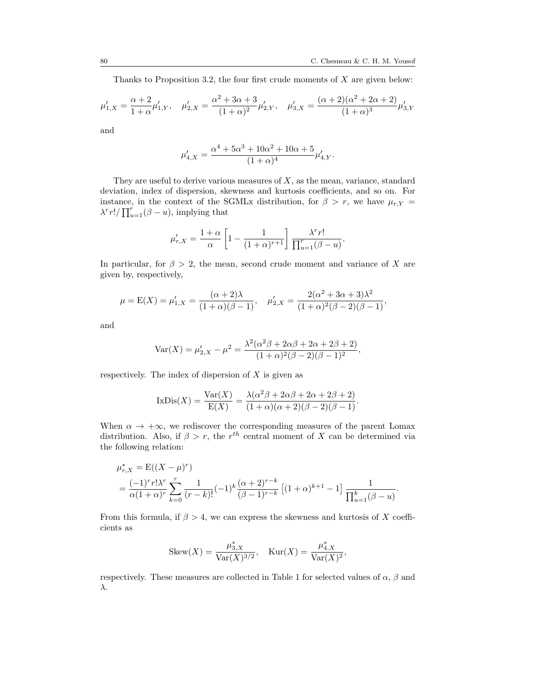.

Thanks to Proposition [3.2,](#page-8-0) the four first crude moments of X are given below:

$$
\mu'_{1,X} = \frac{\alpha+2}{1+\alpha}\mu'_{1,Y}, \quad \mu'_{2,X} = \frac{\alpha^2+3\alpha+3}{(1+\alpha)^2}\mu'_{2,Y}, \quad \mu'_{3,X} = \frac{(\alpha+2)(\alpha^2+2\alpha+2)}{(1+\alpha)^3}\mu'_{3,Y}
$$

and

$$
\mu'_{4,X} = \frac{\alpha^4 + 5\alpha^3 + 10\alpha^2 + 10\alpha + 5}{(1+\alpha)^4} \mu'_{4,Y}.
$$

They are useful to derive various measures of  $X$ , as the mean, variance, standard deviation, index of dispersion, skewness and kurtosis coefficients, and so on. For instance, in the context of the SGMLx distribution, for  $\beta > r$ , we have  $\mu_{r,Y}$  =  $\lambda^r r! / \prod_{u=1}^r (\beta - u)$ , implying that

$$
\mu_{r,X}' = \frac{1+\alpha}{\alpha} \left[ 1 - \frac{1}{(1+\alpha)^{r+1}} \right] \frac{\lambda^r r!}{\prod_{u=1}^r (\beta - u)}
$$

In particular, for  $\beta > 2$ , the mean, second crude moment and variance of X are given by, respectively,

$$
\mu = E(X) = \mu'_{1,X} = \frac{(\alpha + 2)\lambda}{(1 + \alpha)(\beta - 1)}, \quad \mu'_{2,X} = \frac{2(\alpha^2 + 3\alpha + 3)\lambda^2}{(1 + \alpha)^2(\beta - 2)(\beta - 1)},
$$

and

$$
Var(X) = \mu'_{2,X} - \mu^2 = \frac{\lambda^2(\alpha^2\beta + 2\alpha\beta + 2\alpha + 2\beta + 2)}{(1+\alpha)^2(\beta-2)(\beta-1)^2},
$$

respectively. The index of dispersion of  $X$  is given as

$$
IxDis(X) = \frac{Var(X)}{E(X)} = \frac{\lambda(\alpha^2\beta + 2\alpha\beta + 2\alpha + 2\beta + 2)}{(1+\alpha)(\alpha+2)(\beta-2)(\beta-1)}.
$$

When  $\alpha \to +\infty$ , we rediscover the corresponding measures of the parent Lomax distribution. Also, if  $\beta > r$ , the r<sup>th</sup> central moment of X can be determined via the following relation:

$$
\mu_{r,X}^* = \mathcal{E}((X - \mu)^r)
$$
  
=  $\frac{(-1)^r r! \lambda^r}{\alpha (1 + \alpha)^r} \sum_{k=0}^r \frac{1}{(r-k)!} (-1)^k \frac{(\alpha + 2)^{r-k}}{(\beta - 1)^{r-k}} [(1 + \alpha)^{k+1} - 1] \frac{1}{\prod_{u=1}^k (\beta - u)}.$ 

From this formula, if  $\beta > 4$ , we can express the skewness and kurtosis of X coefficients as

Skew
$$
(X)
$$
 =  $\frac{\mu_{3,X}^*}{\text{Var}(X)^{3/2}}, \quad \text{Kur}(X) = \frac{\mu_{4,X}^*}{\text{Var}(X)^2},$ 

respectively. These measures are collected in Table [1](#page-10-0) for selected values of  $\alpha$ ,  $\beta$  and λ.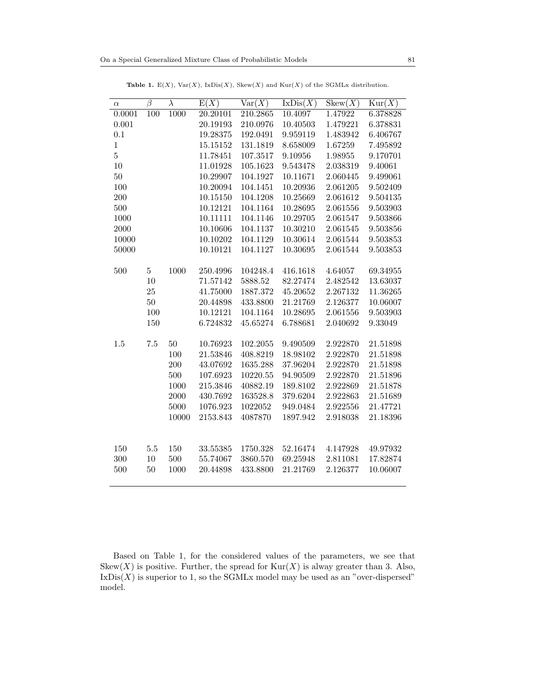<span id="page-10-0"></span>

| $\alpha$       | $\overline{\beta}$ | $\overline{\lambda}$ | $\overline{E(X)}$ | Var(X)   | IxDis(X) | Skew(X)  | $\text{Kur}(X)$ |
|----------------|--------------------|----------------------|-------------------|----------|----------|----------|-----------------|
| 0.0001         | 100                | 1000                 | 20.20101          | 210.2865 | 10.4097  | 1.47922  | 6.378828        |
| 0.001          |                    |                      | 20.19193          | 210.0976 | 10.40503 | 1.479221 | 6.378831        |
| 0.1            |                    |                      | 19.28375          | 192.0491 | 9.959119 | 1.483942 | 6.406767        |
| $\mathbf{1}$   |                    |                      | 15.15152          | 131.1819 | 8.658009 | 1.67259  | 7.495892        |
| $\overline{5}$ |                    |                      | 11.78451          | 107.3517 | 9.10956  | 1.98955  | 9.170701        |
| 10             |                    |                      | 11.01928          | 105.1623 | 9.543478 | 2.038319 | 9.40061         |
| 50             |                    |                      | 10.29907          | 104.1927 | 10.11671 | 2.060445 | 9.499061        |
| 100            |                    |                      | 10.20094          | 104.1451 | 10.20936 | 2.061205 | 9.502409        |
| 200            |                    |                      | 10.15150          | 104.1208 | 10.25669 | 2.061612 | 9.504135        |
| 500            |                    |                      | 10.12121          | 104.1164 | 10.28695 | 2.061556 | 9.503903        |
| 1000           |                    |                      | 10.11111          | 104.1146 | 10.29705 | 2.061547 | 9.503866        |
| 2000           |                    |                      | 10.10606          | 104.1137 | 10.30210 | 2.061545 | 9.503856        |
| 10000          |                    |                      | 10.10202          | 104.1129 | 10.30614 | 2.061544 | 9.503853        |
| 50000          |                    |                      | 10.10121          | 104.1127 | 10.30695 | 2.061544 | 9.503853        |
|                |                    |                      |                   |          |          |          |                 |
| 500            | $\overline{5}$     | 1000                 | 250.4996          | 104248.4 | 416.1618 | 4.64057  | 69.34955        |
|                | 10                 |                      | 71.57142          | 5888.52  | 82.27474 | 2.482542 | 13.63037        |
|                | $25\,$             |                      | 41.75000          | 1887.372 | 45.20652 | 2.267132 | 11.36265        |
|                | $50\,$             |                      | 20.44898          | 433.8800 | 21.21769 | 2.126377 | 10.06007        |
|                | 100                |                      | 10.12121          | 104.1164 | 10.28695 | 2.061556 | 9.503903        |
|                | 150                |                      | 6.724832          | 45.65274 | 6.788681 | 2.040692 | 9.33049         |
|                |                    |                      |                   |          |          |          |                 |
| 1.5            | 7.5                | $50\,$               | 10.76923          | 102.2055 | 9.490509 | 2.922870 | 21.51898        |
|                |                    | 100                  | 21.53846          | 408.8219 | 18.98102 | 2.922870 | 21.51898        |
|                |                    | 200                  | 43.07692          | 1635.288 | 37.96204 | 2.922870 | 21.51898        |
|                |                    | 500                  | 107.6923          | 10220.55 | 94.90509 | 2.922870 | 21.51896        |
|                |                    | 1000                 | 215.3846          | 40882.19 | 189.8102 | 2.922869 | 21.51878        |
|                |                    | 2000                 | 430.7692          | 163528.8 | 379.6204 | 2.922863 | 21.51689        |
|                |                    | 5000                 | 1076.923          | 1022052  | 949.0484 | 2.922556 | 21.47721        |
|                |                    | 10000                | 2153.843          | 4087870  | 1897.942 | 2.918038 | 21.18396        |
|                |                    |                      |                   |          |          |          |                 |
|                |                    |                      |                   |          |          |          |                 |
| 150            | $5.5\,$            | 150                  | 33.55385          | 1750.328 | 52.16474 | 4.147928 | 49.97932        |
| 300            | 10                 | 500                  | 55.74067          | 3860.570 | 69.25948 | 2.811081 | 17.82874        |
| 500            | 50                 | 1000                 | 20.44898          | 433.8800 | 21.21769 | 2.126377 | 10.06007        |
|                |                    |                      |                   |          |          |          |                 |

Table 1.  $E(X)$ ,  $Var(X)$ ,  $IxDis(X)$ ,  $Skew(X)$  and  $Kur(X)$  of the SGMLx distribution.

Based on Table [1,](#page-10-0) for the considered values of the parameters, we see that Skew $(X)$  is positive. Further, the spread for  $\text{Kur}(X)$  is alway greater than 3. Also,  $IxDis(X)$  is superior to 1, so the SGMLx model may be used as an "over-dispersed" model.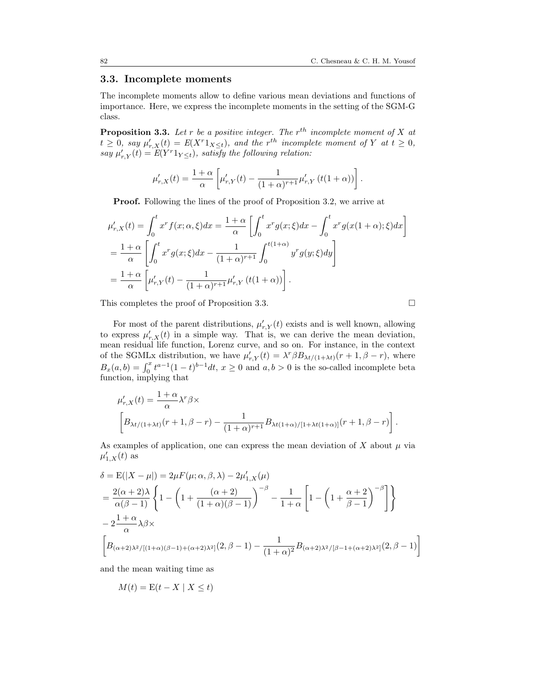#### 3.3. Incomplete moments

The incomplete moments allow to define various mean deviations and functions of importance. Here, we express the incomplete moments in the setting of the SGM-G class.

<span id="page-11-0"></span>**Proposition 3.3.** Let r be a positive integer. The  $r^{th}$  incomplete moment of X at  $t \geq 0$ , say  $\mu'_{r,X}(t) = E(X^r 1_{X \leq t})$ , and the  $r^{th}$  incomplete moment of Y at  $t \geq 0$ , say  $\mu'_{r,Y}(t) = E(Y^r 1_{Y \leq t}),$  satisfy the following relation:

$$
\mu'_{r,X}(t) = \frac{1+\alpha}{\alpha} \left[ \mu'_{r,Y}(t) - \frac{1}{(1+\alpha)^{r+1}} \mu'_{r,Y} (t(1+\alpha)) \right].
$$

Proof. Following the lines of the proof of Proposition [3.2,](#page-8-0) we arrive at

$$
\mu'_{r,X}(t) = \int_0^t x^r f(x; \alpha, \xi) dx = \frac{1+\alpha}{\alpha} \left[ \int_0^t x^r g(x; \xi) dx - \int_0^t x^r g(x(1+\alpha); \xi) dx \right]
$$
  
=  $\frac{1+\alpha}{\alpha} \left[ \int_0^t x^r g(x; \xi) dx - \frac{1}{(1+\alpha)^{r+1}} \int_0^{t(1+\alpha)} y^r g(y; \xi) dy \right]$   
=  $\frac{1+\alpha}{\alpha} \left[ \mu'_{r,Y}(t) - \frac{1}{(1+\alpha)^{r+1}} \mu'_{r,Y}(t(1+\alpha)) \right].$ 

This completes the proof of Proposition [3.3.](#page-11-0)

For most of the parent distributions,  $\mu'_{r,Y}(t)$  exists and is well known, allowing to express  $\mu'_{r,X}(t)$  in a simple way. That is, we can derive the mean deviation, mean residual life function, Lorenz curve, and so on. For instance, in the context of the SGMLx distribution, we have  $\mu'_{r,Y}(t) = \lambda^r \beta B_{\lambda t/(1+\lambda t)}(r+1,\beta-r)$ , where  $B_x(a, b) = \int_0^x t^{a-1}(1-t)^{b-1}dt$ ,  $x \ge 0$  and  $a, b > 0$  is the so-called incomplete beta function, implying that

$$
\mu'_{r,X}(t) = \frac{1+\alpha}{\alpha} \lambda^r \beta \times
$$
\n
$$
\left[ B_{\lambda t/(1+\lambda t)}(r+1,\beta-r) - \frac{1}{(1+\alpha)^{r+1}} B_{\lambda t(1+\alpha)/(1+\lambda t(1+\alpha))}(r+1,\beta-r) \right].
$$

As examples of application, one can express the mean deviation of X about  $\mu$  via  $\mu'_{1,X}(t)$  as

$$
\delta = \mathcal{E}(|X - \mu|) = 2\mu F(\mu; \alpha, \beta, \lambda) - 2\mu'_{1,X}(\mu)
$$
  
=  $\frac{2(\alpha + 2)\lambda}{\alpha(\beta - 1)} \left\{ 1 - \left( 1 + \frac{(\alpha + 2)}{(1 + \alpha)(\beta - 1)} \right)^{-\beta} - \frac{1}{1 + \alpha} \left[ 1 - \left( 1 + \frac{\alpha + 2}{\beta - 1} \right)^{-\beta} \right] \right\}$   
-  $2\frac{1 + \alpha}{\alpha} \lambda \beta \times$   
 $\left[ B_{(\alpha + 2)\lambda^2/[(1 + \alpha)(\beta - 1) + (\alpha + 2)\lambda^2]}(2, \beta - 1) - \frac{1}{(1 + \alpha)^2} B_{(\alpha + 2)\lambda^2/[\beta - 1 + (\alpha + 2)\lambda^2]}(2, \beta - 1) \right]$ 

and the mean waiting time as

$$
M(t) = \mathcal{E}(t - X \mid X \le t)
$$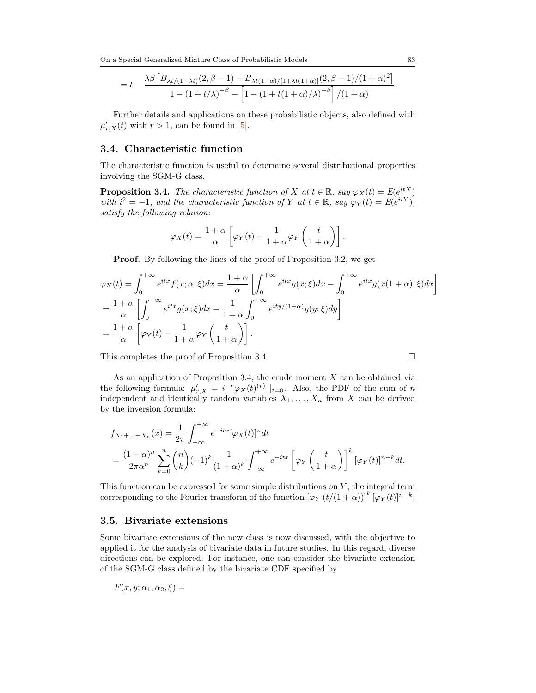On a Special Generalized Mixture Class of Probabilistic Models 83

$$
= t - \frac{\lambda \beta \left[ B_{\lambda t/(1+\lambda t)}(2,\beta-1) - B_{\lambda t(1+\alpha)/(1+\lambda t(1+\alpha))}(2,\beta-1)/(1+\alpha)^2 \right]}{1 - (1+t/\lambda)^{-\beta} - \left[ 1 - (1+t(1+\alpha)/\lambda)^{-\beta} \right]/(1+\alpha)}.
$$

Further details and applications on these probabilistic objects, also defined with  $\mu'_{r,X}(t)$  with  $r > 1$ , can be found in [\[5\]](#page-20-8).

#### 3.4. Characteristic function

The characteristic function is useful to determine several distributional properties involving the SGM-G class.

<span id="page-12-0"></span>**Proposition 3.4.** The characteristic function of X at  $t \in \mathbb{R}$ , say  $\varphi_X(t) = E(e^{itX})$ with  $i^2 = -1$ , and the characteristic function of Y at  $t \in \mathbb{R}$ , say  $\varphi_Y(t) = E(e^{itY})$ , satisfy the following relation:

$$
\varphi_X(t) = \frac{1+\alpha}{\alpha} \left[ \varphi_Y(t) - \frac{1}{1+\alpha} \varphi_Y\left(\frac{t}{1+\alpha}\right) \right].
$$

Proof. By following the lines of the proof of Proposition [3.2,](#page-8-0) we get

$$
\varphi_X(t) = \int_0^{+\infty} e^{itx} f(x; \alpha, \xi) dx = \frac{1+\alpha}{\alpha} \left[ \int_0^{+\infty} e^{itx} g(x; \xi) dx - \int_0^{+\infty} e^{itx} g(x(1+\alpha); \xi) dx \right]
$$
  
=  $\frac{1+\alpha}{\alpha} \left[ \int_0^{+\infty} e^{itx} g(x; \xi) dx - \frac{1}{1+\alpha} \int_0^{+\infty} e^{ity/(1+\alpha)} g(y; \xi) dy \right]$   
=  $\frac{1+\alpha}{\alpha} \left[ \varphi_Y(t) - \frac{1}{1+\alpha} \varphi_Y \left( \frac{t}{1+\alpha} \right) \right].$ 

This completes the proof of Proposition [3.4.](#page-12-0)

As an application of Proposition [3.4,](#page-12-0) the crude moment  $X$  can be obtained via the following formula:  $\mu'_{r,X} = i^{-r} \varphi_X(t)^{(r)} \mid_{t=0}$ . Also, the PDF of the sum of n independent and identically random variables  $X_1, \ldots, X_n$  from X can be derived by the inversion formula:

$$
f_{X_1+\ldots+X_n}(x) = \frac{1}{2\pi} \int_{-\infty}^{+\infty} e^{-itx} [\varphi_X(t)]^n dt
$$
  
= 
$$
\frac{(1+\alpha)^n}{2\pi\alpha^n} \sum_{k=0}^n {n \choose k} (-1)^k \frac{1}{(1+\alpha)^k} \int_{-\infty}^{+\infty} e^{-itx} [\varphi_Y\left(\frac{t}{1+\alpha}\right)]^k [\varphi_Y(t)]^{n-k} dt.
$$

This function can be expressed for some simple distributions on  $Y$ , the integral term corresponding to the Fourier transform of the function  $[\varphi_Y(t/(1+\alpha))]^k [\varphi_Y(t)]^{n-k}$ .

#### 3.5. Bivariate extensions

Some bivariate extensions of the new class is now discussed, with the objective to applied it for the analysis of bivariate data in future studies. In this regard, diverse directions can be explored. For instance, one can consider the bivariate extension of the SGM-G class defined by the bivariate CDF specified by

$$
F(x, y; \alpha_1, \alpha_2, \xi) =
$$

$$
\Box
$$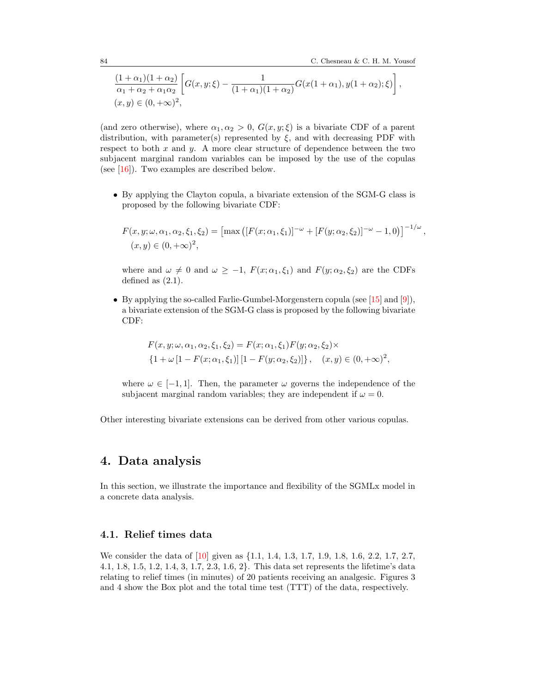,

$$
\frac{(1+\alpha_1)(1+\alpha_2)}{\alpha_1+\alpha_2+\alpha_1\alpha_2} \left[ G(x,y;\xi) - \frac{1}{(1+\alpha_1)(1+\alpha_2)} G(x(1+\alpha_1),y(1+\alpha_2); \xi) \right],
$$
  
(x,y) \in (0, +\infty)<sup>2</sup>,

(and zero otherwise), where  $\alpha_1, \alpha_2 > 0$ ,  $G(x, y; \xi)$  is a bivariate CDF of a parent distribution, with parameter(s) represented by  $\xi$ , and with decreasing PDF with respect to both  $x$  and  $y$ . A more clear structure of dependence between the two subjacent marginal random variables can be imposed by the use of the copulas (see [\[16\]](#page-21-9)). Two examples are described below.

• By applying the Clayton copula, a bivariate extension of the SGM-G class is proposed by the following bivariate CDF:

$$
F(x, y; \omega, \alpha_1, \alpha_2, \xi_1, \xi_2) = [\max \left( [F(x; \alpha_1, \xi_1)]^{-\omega} + [F(y; \alpha_2, \xi_2)]^{-\omega} - 1, 0 \right) ]^{-1/\omega}
$$
  

$$
(x, y) \in (0, +\infty)^2,
$$

where and  $\omega \neq 0$  and  $\omega \geq -1$ ,  $F(x; \alpha_1, \xi_1)$  and  $F(y; \alpha_2, \xi_2)$  are the CDFs defined as  $(2.1)$ .

• By applying the so-called Farlie-Gumbel-Morgenstern copula (see [\[15\]](#page-21-10) and [\[9\]](#page-21-11)), a bivariate extension of the SGM-G class is proposed by the following bivariate CDF:

$$
F(x, y; \omega, \alpha_1, \alpha_2, \xi_1, \xi_2) = F(x; \alpha_1, \xi_1) F(y; \alpha_2, \xi_2) \times
$$
  

$$
\{1 + \omega \left[1 - F(x; \alpha_1, \xi_1)\right] \left[1 - F(y; \alpha_2, \xi_2)\right]\}, \quad (x, y) \in (0, +\infty)^2,
$$

where  $\omega \in [-1, 1]$ . Then, the parameter  $\omega$  governs the independence of the subjacent marginal random variables; they are independent if  $\omega = 0$ .

Other interesting bivariate extensions can be derived from other various copulas.

# <span id="page-13-0"></span>4. Data analysis

In this section, we illustrate the importance and flexibility of the SGMLx model in a concrete data analysis.

### 4.1. Relief times data

We consider the data of [\[10\]](#page-21-12) given as  $\{1.1, 1.4, 1.3, 1.7, 1.9, 1.8, 1.6, 2.2, 1.7, 2.7,$ 4.1, 1.8, 1.5, 1.2, 1.4, 3, 1.7, 2.3, 1.6, 2}. This data set represents the lifetime's data relating to relief times (in minutes) of 20 patients receiving an analgesic. Figures [3](#page-14-0) and [4](#page-14-1) show the Box plot and the total time test (TTT) of the data, respectively.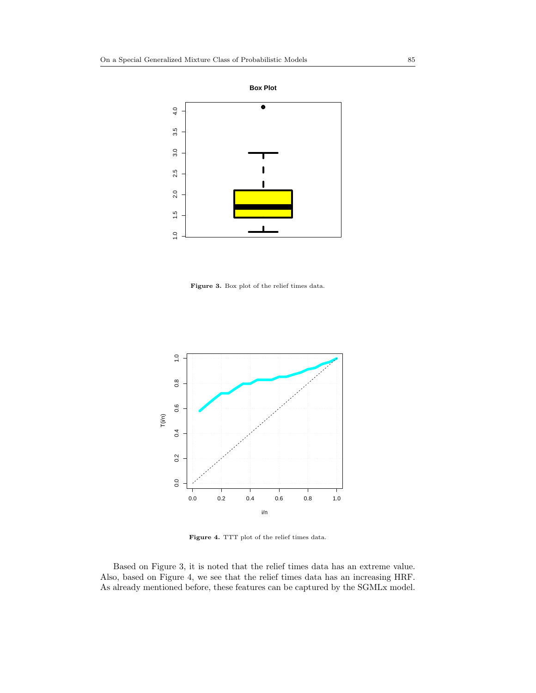

<span id="page-14-0"></span>Figure 3. Box plot of the relief times data.



Figure 4. TTT plot of the relief times data.

<span id="page-14-1"></span>Based on Figure [3,](#page-14-0) it is noted that the relief times data has an extreme value. Also, based on Figure [4,](#page-14-1) we see that the relief times data has an increasing HRF. As already mentioned before, these features can be captured by the SGMLx model.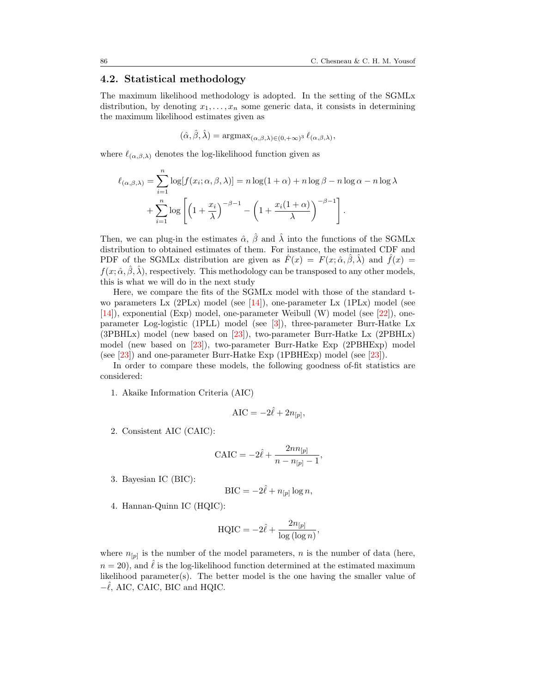#### 4.2. Statistical methodology

The maximum likelihood methodology is adopted. In the setting of the SGMLx distribution, by denoting  $x_1, \ldots, x_n$  some generic data, it consists in determining the maximum likelihood estimates given as

$$
(\hat{\alpha}, \hat{\beta}, \hat{\lambda}) = \operatorname{argmax}_{(\alpha, \beta, \lambda) \in (0, +\infty)^3} \ell_{(\alpha, \beta, \lambda)},
$$

where  $\ell_{(\alpha,\beta,\lambda)}$  denotes the log-likelihood function given as

$$
\ell_{(\alpha,\beta,\lambda)} = \sum_{i=1}^{n} \log[f(x_i;\alpha,\beta,\lambda)] = n \log(1+\alpha) + n \log \beta - n \log \alpha - n \log \lambda
$$

$$
+ \sum_{i=1}^{n} \log \left[ \left(1 + \frac{x_i}{\lambda}\right)^{-\beta - 1} - \left(1 + \frac{x_i(1+\alpha)}{\lambda}\right)^{-\beta - 1} \right].
$$

Then, we can plug-in the estimates  $\hat{\alpha}$ ,  $\hat{\beta}$  and  $\hat{\lambda}$  into the functions of the SGMLx distribution to obtained estimates of them. For instance, the estimated CDF and PDF of the SGMLx distribution are given as  $F(x) = F(x; \hat{\alpha}, \beta, \lambda)$  and  $f(x) =$  $f(x; \hat{\alpha}, \hat{\beta}, \hat{\lambda})$ , respectively. This methodology can be transposed to any other models, this is what we will do in the next study

Here, we compare the fits of the SGMLx model with those of the standard two parameters Lx  $(2PLx)$  model (see [\[14\]](#page-21-8)), one-parameter Lx  $(1PLx)$  model (see [\[14\]](#page-21-8)), exponential (Exp) model, one-parameter Weibull (W) model (see [\[22\]](#page-21-13)), oneparameter Log-logistic (1PLL) model (see [\[3\]](#page-20-9)), three-parameter Burr-Hatke Lx (3PBHLx) model (new based on [\[23\]](#page-21-14)), two-parameter Burr-Hatke Lx (2PBHLx) model (new based on [\[23\]](#page-21-14)), two-parameter Burr-Hatke Exp (2PBHExp) model (see [\[23\]](#page-21-14)) and one-parameter Burr-Hatke Exp (1PBHExp) model (see [\[23\]](#page-21-14)).

In order to compare these models, the following goodness of-fit statistics are considered:

1. Akaike Information Criteria (AIC)

$$
AIC = -2\hat{\ell} + 2n_{[p]},
$$

2. Consistent AIC (CAIC):

$$
CAIC = -2\hat{\ell} + \frac{2nn_{[p]}}{n - n_{[p]} - 1},
$$

3. Bayesian IC (BIC):

$$
BIC = -2\hat{\ell} + n_{[p]} \log n,
$$

4. Hannan-Quinn IC (HQIC):

$$
HQIC = -2\hat{\ell} + \frac{2n_{[p]}}{\log(\log n)},
$$

where  $n_{[p]}$  is the number of the model parameters, n is the number of data (here,  $n = 20$ , and  $\ell$  is the log-likelihood function determined at the estimated maximum likelihood parameter $(s)$ . The better model is the one having the smaller value of  $-\ell$ , AIC, CAIC, BIC and HQIC.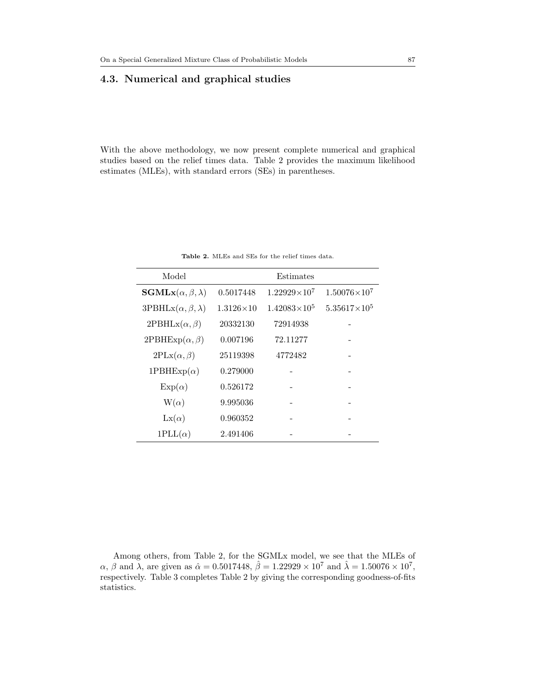## 4.3. Numerical and graphical studies

With the above methodology, we now present complete numerical and graphical studies based on the relief times data. Table [2](#page-16-0) provides the maximum likelihood estimates (MLEs), with standard errors (SEs) in parentheses.

<span id="page-16-0"></span>

| Model                                    | Estimates        |                       |                       |  |  |
|------------------------------------------|------------------|-----------------------|-----------------------|--|--|
| $\textbf{SGMLx}(\alpha, \beta, \lambda)$ | 0.5017448        | $1.22929\times10^{7}$ | $1.50076\times10^{7}$ |  |  |
| $3PBHLx(\alpha, \beta, \lambda)$         | $1.3126\times10$ | $1.42083\times10^{5}$ | $5.35617\times10^{5}$ |  |  |
| $2\mathrm{PBHLx}(\alpha,\beta)$          | 20332130         | 72914938              |                       |  |  |
| $2\mathrm{PBHExp}(\alpha,\beta)$         | 0.007196         | 72.11277              |                       |  |  |
| $2PLx(\alpha, \beta)$                    | 25119398         | 4772482               |                       |  |  |
| 1PBHExp $(\alpha)$                       | 0.279000         |                       |                       |  |  |
| $Exp(\alpha)$                            | 0.526172         |                       |                       |  |  |
| $W(\alpha)$                              | 9.995036         |                       |                       |  |  |
| $\text{Lx}(\alpha)$                      | 0.960352         |                       |                       |  |  |
| $1PLL(\alpha)$                           | 2.491406         |                       |                       |  |  |

Table 2. MLEs and SEs for the relief times data.

Among others, from Table [2,](#page-16-0) for the SGMLx model, we see that the MLEs of  $\alpha$ ,  $\beta$  and  $\lambda$ , are given as  $\hat{\alpha} = 0.5017448$ ,  $\hat{\beta} = 1.22929 \times 10^7$  and  $\hat{\lambda} = 1.50076 \times 10^7$ , respectively. Table [3](#page-17-0) completes Table [2](#page-16-0) by giving the corresponding goodness-of-fits statistics.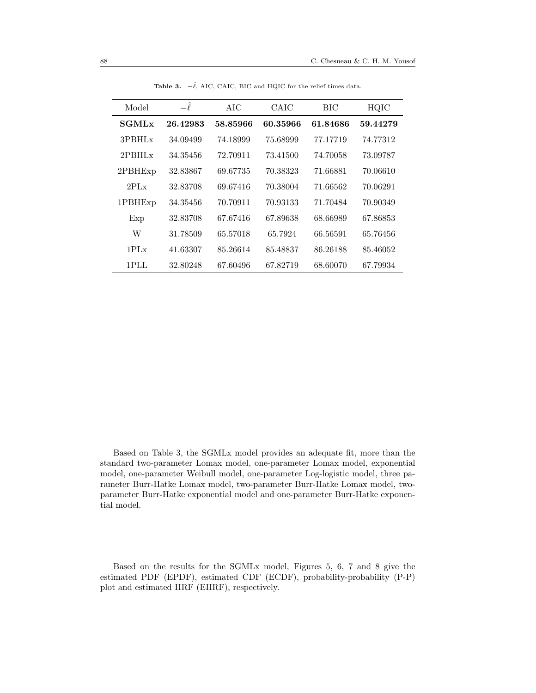<span id="page-17-0"></span>

| Model                   | $-\ell$  | <b>AIC</b> | CAIC     | BIC      | HQIC     |
|-------------------------|----------|------------|----------|----------|----------|
| <b>SGML<sub>x</sub></b> | 26.42983 | 58.85966   | 60.35966 | 61.84686 | 59.44279 |
| $3$ PBHL $x$            | 34.09499 | 74.18999   | 75.68999 | 77.17719 | 74.77312 |
| $2$ PBHL $x$            | 34.35456 | 72.70911   | 73.41500 | 74.70058 | 73.09787 |
| 2PBHE <sub>xp</sub>     | 32.83867 | 69.67735   | 70.38323 | 71.66881 | 70.06610 |
| 2PLx                    | 32.83708 | 69.67416   | 70.38004 | 71.66562 | 70.06291 |
| 1PBHExp                 | 34.35456 | 70.70911   | 70.93133 | 71.70484 | 70.90349 |
| Exp                     | 32.83708 | 67.67416   | 67.89638 | 68.66989 | 67.86853 |
| W                       | 31.78509 | 65.57018   | 65.7924  | 66.56591 | 65.76456 |
| $1PI_x$                 | 41.63307 | 85.26614   | 85.48837 | 86.26188 | 85.46052 |
| 1PLL                    | 32.80248 | 67.60496   | 67.82719 | 68.60070 | 67.79934 |

**Table 3.**  $-\hat{\ell}$ , AIC, CAIC, BIC and HQIC for the relief times data.

Based on Table [3,](#page-17-0) the SGMLx model provides an adequate fit, more than the standard two-parameter Lomax model, one-parameter Lomax model, exponential model, one-parameter Weibull model, one-parameter Log-logistic model, three parameter Burr-Hatke Lomax model, two-parameter Burr-Hatke Lomax model, twoparameter Burr-Hatke exponential model and one-parameter Burr-Hatke exponential model.

Based on the results for the SGMLx model, Figures [5,](#page-18-0) [6,](#page-18-1) [7](#page-19-0) and [8](#page-19-1) give the estimated PDF (EPDF), estimated CDF (ECDF), probability-probability (P-P) plot and estimated HRF (EHRF), respectively.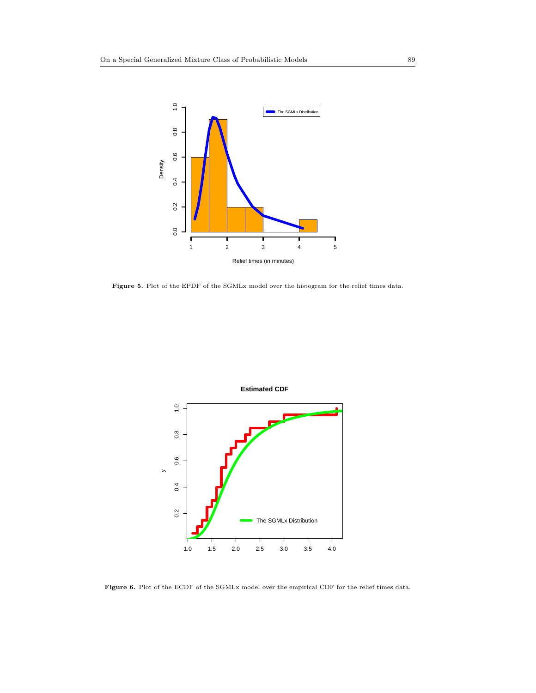

Figure 5. Plot of the EPDF of the SGMLx model over the histogram for the relief times data.

<span id="page-18-0"></span>

<span id="page-18-1"></span>Figure 6. Plot of the ECDF of the SGMLx model over the empirical CDF for the relief times data.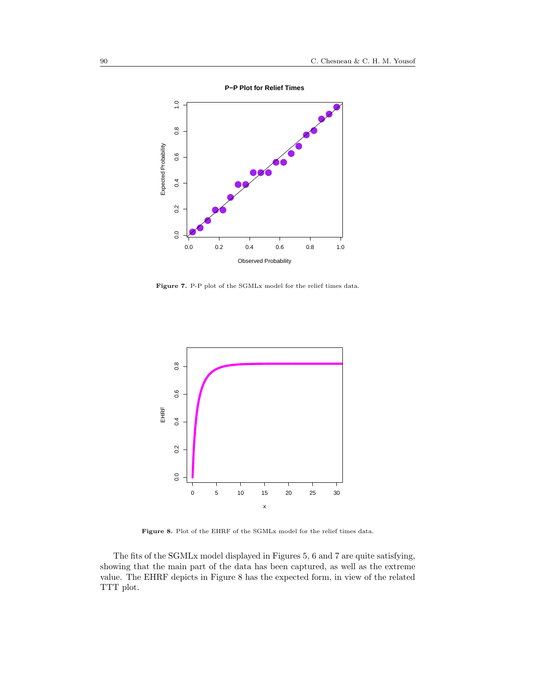

<span id="page-19-0"></span>Figure 7. P-P plot of the SGMLx model for the relief times data.



Figure 8. Plot of the EHRF of the SGMLx model for the relief times data.

<span id="page-19-1"></span>The fits of the SGMLx model displayed in Figures [5,](#page-18-0) [6](#page-18-1) and [7](#page-19-0) are quite satisfying, showing that the main part of the data has been captured, as well as the extreme value. The EHRF depicts in Figure [8](#page-19-1) has the expected form, in view of the related TTT plot.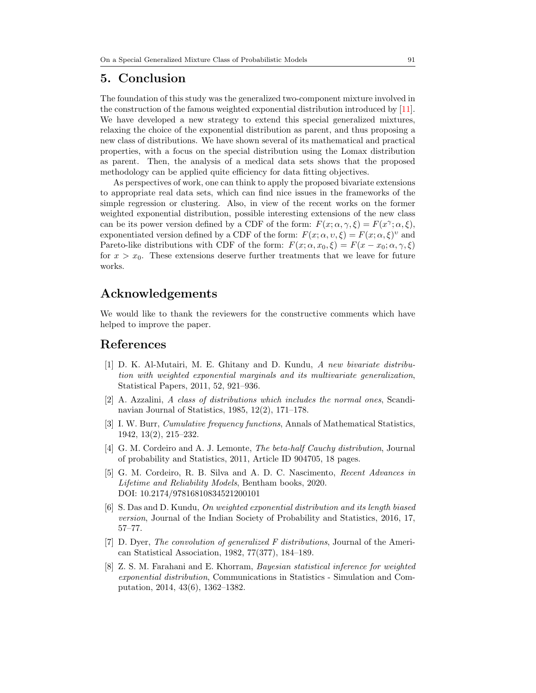## <span id="page-20-5"></span>5. Conclusion

The foundation of this study was the generalized two-component mixture involved in the construction of the famous weighted exponential distribution introduced by [\[11\]](#page-21-0). We have developed a new strategy to extend this special generalized mixtures, relaxing the choice of the exponential distribution as parent, and thus proposing a new class of distributions. We have shown several of its mathematical and practical properties, with a focus on the special distribution using the Lomax distribution as parent. Then, the analysis of a medical data sets shows that the proposed methodology can be applied quite efficiency for data fitting objectives.

As perspectives of work, one can think to apply the proposed bivariate extensions to appropriate real data sets, which can find nice issues in the frameworks of the simple regression or clustering. Also, in view of the recent works on the former weighted exponential distribution, possible interesting extensions of the new class can be its power version defined by a CDF of the form:  $F(x; \alpha, \gamma, \xi) = F(x^{\gamma}; \alpha, \xi),$ exponentiated version defined by a CDF of the form:  $F(x; \alpha, v, \xi) = F(x; \alpha, \xi)^v$  and Pareto-like distributions with CDF of the form:  $F(x; \alpha, x_0, \xi) = F(x - x_0; \alpha, \gamma, \xi)$ for  $x > x_0$ . These extensions deserve further treatments that we leave for future works.

# Acknowledgements

We would like to thank the reviewers for the constructive comments which have helped to improve the paper.

## <span id="page-20-0"></span>References

- <span id="page-20-2"></span>[1] D. K. Al-Mutairi, M. E. Ghitany and D. Kundu, A new bivariate distribution with weighted exponential marginals and its multivariate generalization, Statistical Papers, 2011, 52, 921–936.
- <span id="page-20-1"></span>[2] A. Azzalini, A class of distributions which includes the normal ones, Scandinavian Journal of Statistics, 1985, 12(2), 171–178.
- <span id="page-20-9"></span>[3] I. W. Burr, Cumulative frequency functions, Annals of Mathematical Statistics, 1942, 13(2), 215–232.
- <span id="page-20-6"></span>[4] G. M. Cordeiro and A. J. Lemonte, The beta-half Cauchy distribution, Journal of probability and Statistics, 2011, Article ID 904705, 18 pages.
- <span id="page-20-8"></span>[5] G. M. Cordeiro, R. B. Silva and A. D. C. Nascimento, Recent Advances in Lifetime and Reliability Models, Bentham books, 2020. DOI: 10.2174/97816810834521200101
- <span id="page-20-4"></span>[6] S. Das and D. Kundu, On weighted exponential distribution and its length biased version, Journal of the Indian Society of Probability and Statistics, 2016, 17, 57–77.
- <span id="page-20-7"></span>[7] D. Dyer, The convolution of generalized F distributions, Journal of the American Statistical Association, 1982, 77(377), 184–189.
- <span id="page-20-3"></span>[8] Z. S. M. Farahani and E. Khorram, Bayesian statistical inference for weighted exponential distribution, Communications in Statistics - Simulation and Computation, 2014, 43(6), 1362–1382.